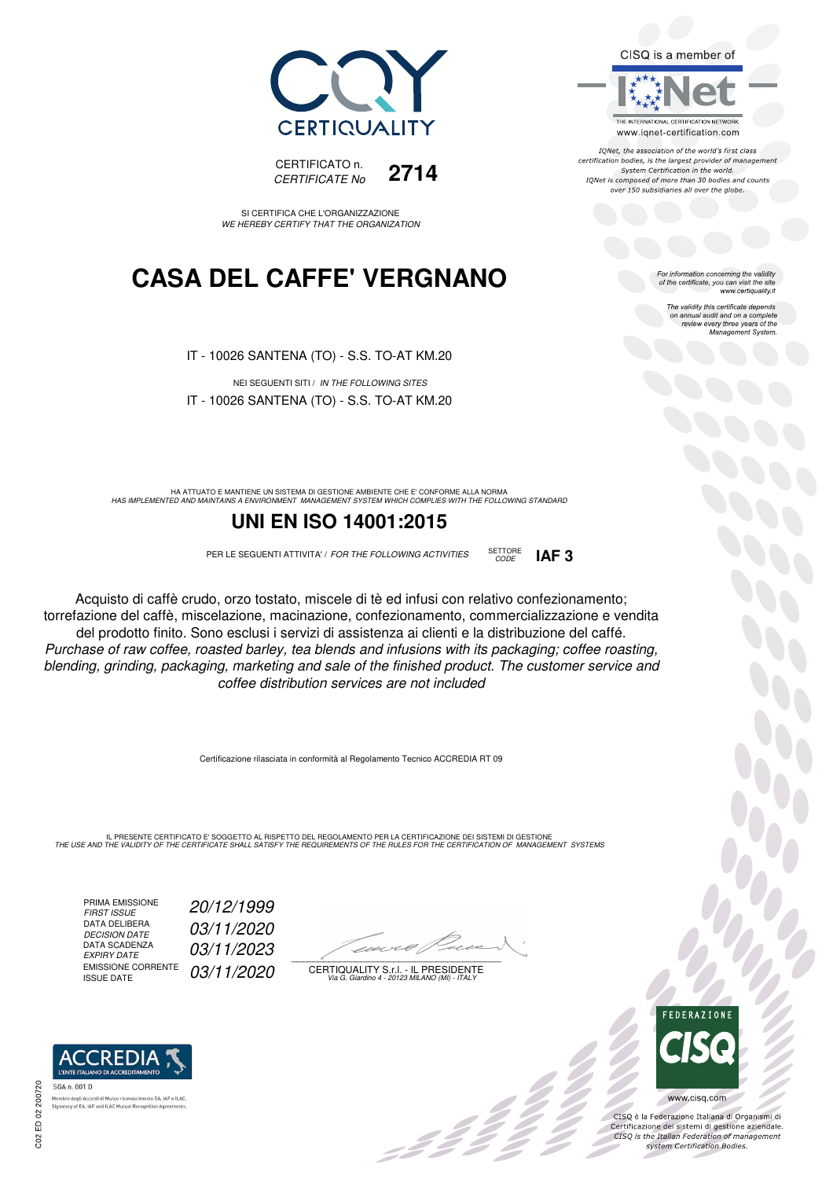



IONet, the association of the world's first class certification bodies, is the largest provider of management System Certification in the world. IQNet is composed of more than 30 bodies and counts over 150 subsidiaries all over the globe.

For information concerning the validity<br>of the certificate, you can visit the site<br>www.certiquality.it

The validity this certificate depends on annual audit and on a complete review every three years of the Management System.





SI CERTIFICA CHE L'ORGANIZZAZIONE WE HEREBY CERTIFY THAT THE ORGANIZATION

### **CASA DEL CAFFE' VERGNANO**

IT - 10026 SANTENA (TO) - S.S. TO-AT KM.20

NEI SEGUENTI SITI / IN THE FOLLOWING SITES IT - 10026 SANTENA (TO) - S.S. TO-AT KM.20

HA ATTUATO E MANTIENE UN SISTEMA DI GESTIONE AMBIENTE CHE E' CONFORME ALLA NORMA<br>HAS IMPLEMENTED AND MAINTAINS A ENVIRONMENT MANAGEMENT SYSTEM WHICH COMPLIES WITH THE FOLLOWING STANDARD

### **UNI EN ISO 14001:2015**

PER LE SEGUENTI ATTIVITA' / FOR THE FOLLOWING ACTIVITIES SETTORE



Acquisto di caffè crudo, orzo tostato, miscele di tè ed infusi con relativo confezionamento; torrefazione del caffè, miscelazione, macinazione, confezionamento, commercializzazione e vendita del prodotto finito. Sono esclusi i servizi di assistenza ai clienti e la distribuzione del caffé. Purchase of raw coffee, roasted barley, tea blends and infusions with its packaging; coffee roasting, blending, grinding, packaging, marketing and sale of the finished product. The customer service and coffee distribution services are not included

Certificazione rilasciata in conformità al Regolamento Tecnico ACCREDIA RT 09

IL PRESENTE CERTIFICATO E' SOGGETTO AL RISPETTO DEL REGOLAMENTO PER LA CERTIFICAZIONE DEI SISTEMI DI GESTIONE<br>THE USE AND THE VALIDITY OF THE CERTIFICATE SHALL SATISFY THE REQUIREMENTS OF THE RULES FOR THE CERTIFICATION OF

PRIMA EMISSIONE<br>FIRST ISSUE DATA DELIBERA<br>DECISION DATE DATA SCADENZA<br>EXPIRY DATE EMISSIONE CORRENTE<br>ISSUE DATE

**REDIA** 

ento EA, IAF e ILAC

FIRST ISSUE 20/12/1999 03/11/2020 03/11/2023 03/11/2020

 $\overline{\phantom{a}}$ 

 $\mathscr{L}$ 

CERTIQUALITY S.r.l. - IL PRESIDENTE Via G. Giardino 4 - 20123 MILANO (MI) - ITALY



CISQ è la Federazione Italiana di Organismi di Certificazione dei sistemi di gestione aziendale.<br>CISQ is the Italian Federation of management system Certification Bodies.



SGA n. 001 D

Membro degli Accordi di Mutuo ricor **Signatory of EA, IAF and ILAC Mutual Recognition Ag**